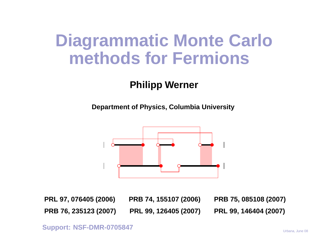### **Diagrammatic Monte Carlomethods for Fermions**

#### **Philipp Werner**

**Department of Physics, Columbia University**



PRL 97, 076405 (2006) PRB 74, 155107 (2006) PRB 75, 085108 (2007) PRB 76, 235123 (2007) PRL 99, 126405 (2007) PRL 99, 146404 (2007)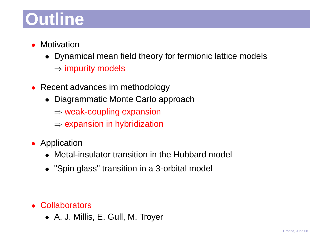# **Outline**

- $\bullet$ **Motivation** 
	- Dynamical mean field theory for fermionic lattice models $\Rightarrow$  impurity models
- Recent advances im methodology
	- Diagrammatic Monte Carlo approach
		- ⇒ weak-coupling expansion
		- $\Rightarrow$  expansion in hybridization
- Application
	- Metal-insulator transition in the Hubbard model
	- "Spin glass" transition in <sup>a</sup> 3-orbital model

- Collaborators
	- A. J. Millis, E. Gull, M. Troyer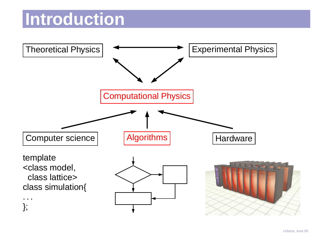#### **Introduction**

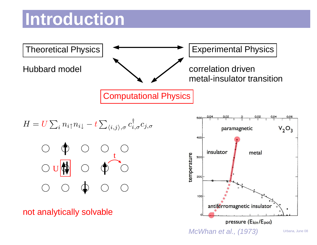#### **Introduction**



McWhan et al., (1973)

Urbana, June 08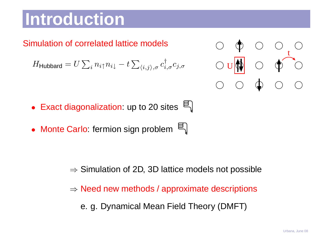### **Introduction**

#### Simulation of correlated lattice models

$$
H_{\mathsf{Hubbard}} = U \sum_{i} n_{i\uparrow} n_{i\downarrow} - t \sum_{\langle i,j \rangle,\sigma} c_{i,\sigma}^{\dagger} c_{j,\sigma} \qquad \qquad \bigcirc \mathbf{U}
$$

- Exact diagonalization: up to <sup>20</sup> sites
- Monte Carlo: fermion sign problem

- $\Rightarrow$  Simulation of 2D, 3D lattice models not possible
- $\Rightarrow$  Need new methods / approximate descriptions

e. g. Dynamical Mean Field Theory (DMFT)



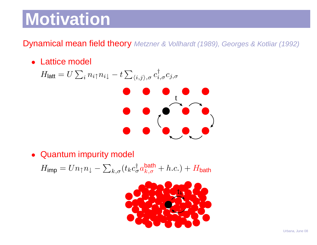### **Motivation**

**Dynamical mean field theory** Metzner & Vollhardt (1989), Georges & Kotliar (1992)

• Lattice model

$$
H_{\text{latt}} = U \sum_{i} n_{i\uparrow} n_{i\downarrow} - t \sum_{\langle i,j \rangle,\sigma} c^{\dagger}_{i,\sigma} c_{j,\sigma}
$$

• Quantum impurity model

 $H_{\mathsf{imp}}=U n_{\uparrow}n_{\downarrow}-\sum_{k,\sigma}(t_kc_{\sigma}^{\dagger}a_{k,\sigma}^{\mathsf{bath}}+h.c.)+H_{\mathsf{bath}}$ 

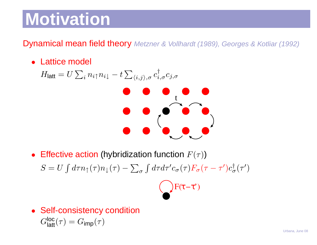### **Motivation**

**Dynamical mean field theory** Metzner & Vollhardt (1989), Georges & Kotliar (1992)

• Lattice model

$$
H_{\text{latt}} = U \sum_{i} n_{i\uparrow} n_{i\downarrow} - t \sum_{\langle i,j \rangle,\sigma} c_{i,\sigma}^{\dagger} c_{j,\sigma}
$$

• Effective action (hybridization function  $F(\tau)$ )  $S = U \int d\tau n_{\uparrow}(\tau) n_{\downarrow}(\tau) - \sum_{\sigma} \int d\tau d\tau' c_{\sigma}(\tau) F_{\sigma}(\tau - \tau') c_{\sigma}^{\dagger}(\tau')$ 



• Self-consistency condition $G_{\textsf{latt}}^{\textsf{loc}}(\tau) = G_{\textsf{imp}}(\tau)$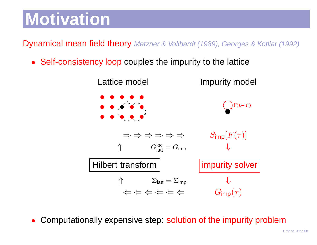## **Motivation**

**Dynamical mean field theory** Metzner & Vollhardt (1989), Georges & Kotliar (1992)

• Self-consistency loop couples the impurity to the lattice



•Computationally expensive step: solution of the impurity problem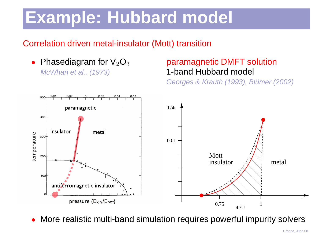### **Example: Hubbard model**

#### Correlation driven metal-insulator (Mott) transition

• Phasediagram for  $\mathsf{V}_2\mathsf{O}_3$ McWhan et al., (1973)

#### paramagnetic DMFT solution1-band Hubbard model

Georges & Krauth (1993), Blümer (2002)



 $\bullet$ More realistic multi-band simulation requires powerful impurity solvers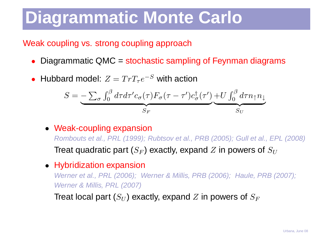#### Weak coupling vs. strong coupling approach

- •Diagrammatic QMC <sup>=</sup> stochastic sampling of Feynman diagrams
- •• Hubbard model:  $Z = Tr T_{\tau} e^{-S}$  with action

$$
S = \underbrace{-\sum_{\sigma} \int_0^{\beta} d\tau d\tau' c_{\sigma}(\tau) F_{\sigma}(\tau - \tau') c_{\sigma}^{\dagger}(\tau')}_{S_F} + U \underbrace{\int_0^{\beta} d\tau n_{\uparrow} n_{\downarrow}}_{S_U}
$$

• Weak-coupling expansion

 Rombouts et al., PRL (1999); Rubtsov et al., PRB (2005); Gull et al., EPL (2008)Treat quadratic part ( $S_F$  $\left( F\right)$  exactly, expand  $Z$  in powers of  $S_U$ 

#### • Hybridization expansion

 Werner et al., PRL (2006); Werner & Millis, PRB (2006); Haule, PRB (2007); Werner & Millis, PRL (2007)

Treat local part ( $S_U$  $S_{U}$ ) exactly, expand  $Z$  in powers of  $S_{F}$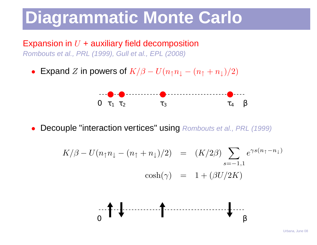#### Expansion in  $U$  + auxiliary field decomposition Rombouts et al., PRL (1999), Gull et al., EPL (2008)

• Expand  $Z$  in powers of  $K/\beta$  $U(n_\uparrow n_\downarrow$   $(n_\uparrow+n_\downarrow)/2)$ 



 $\bullet$ • Decouple "interaction vertices" using Rombouts et al., PRL (1999)

$$
K/\beta - U(n_{\uparrow}n_{\downarrow} - (n_{\uparrow} + n_{\downarrow})/2) = (K/2\beta) \sum_{s=-1,1} e^{\gamma s(n_{\uparrow} - n_{\downarrow})}
$$
  

$$
\cosh(\gamma) = 1 + (\beta U/2K)
$$

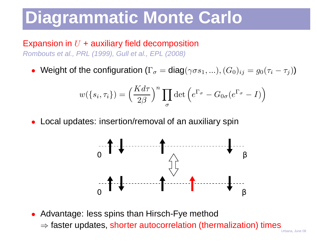#### Expansion in  $U$  + auxiliary field decomposition Rombouts et al., PRL (1999), Gull et al., EPL (2008)

• Weight of the configuration  $(\Gamma_{\sigma} = \text{diag}(\gamma \sigma s_1, ...)$ ,  $(G_0)_{ij} = g_0(\tau_i - \tau_j)$ )

$$
w(\lbrace s_i, \tau_i \rbrace) = \left(\frac{K d\tau}{2\beta}\right)^n \prod_{\sigma} \det \left(e^{\Gamma_{\sigma}} - G_{0\sigma}(e^{\Gamma_{\sigma}} - I)\right)
$$

 $\bullet$ Local updates: insertion/removal of an auxiliary spin



• Advantage: less spins than Hirsch-Fye method

 $\Rightarrow$  faster updates, shorter autocorrelation (thermalization) times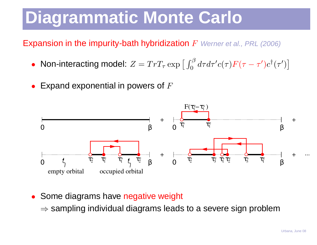Expansion in the impurity-bath hybridization  $F\,$  Werner et al., PRL (2006)

- Non-interacting model:  $Z = Tr T_{\tau} \exp \left[ \int_0^{\beta} d\tau d\tau' c(\tau) F(\tau \tau') c^{\dagger}(\tau') \right]$ **|**  $\overline{\phantom{a}}$
- • $\bullet~$  Expand exponential in powers of  $F$



- $\bullet$ **• Some diagrams have negative weight** 
	- $\Rightarrow$  sampling individual diagrams leads to a severe sign problem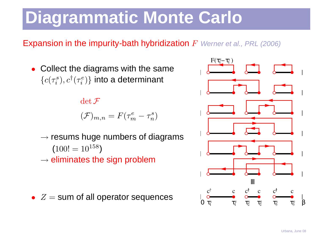#### Expansion in the impurity-bath hybridization  $F\,$  Werner et al., PRL (2006)

• Collect the diagrams with the same $\{c(\tau_i^s$  $(c^s_i),c^\dagger(\tau^e_i)$  $\{e^e_i\}\}$  into a determinant

 $\det \mathcal{F}$ 

$$
(\mathcal{F})_{m,n} = F(\tau_m^e - \tau_n^s)
$$

- $\rightarrow$  resums huge numbers of diagrams  $(100! = 10^{158})$
- $\rightarrow$  eliminates the sign problem
- $\bullet$   $Z=$  $=$  sum of all operator sequences

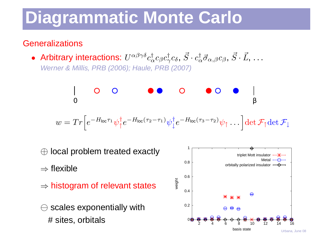#### **Generalizations**

• Arbitrary interactions:  $U^{\alpha\beta\gamma\delta}$  $c_{\alpha}^{\dagger}c_{\beta}c_{\gamma}^{\dagger}c_{\delta},\,\vec{S}\cdot c_{\alpha}^{\dagger}\vec{\sigma}_{\alpha,\beta}c_{\beta},\,\vec{S}\cdot\vec{L},\,\dots$ Werner & Millis, PRB (2006); Haule, PRB (2007)

0βw= Tr h eHlocτ1 ψ†↑e<sup>H</sup>loc(<sup>τ</sup>2−<sup>τ</sup>1)ψ†↓e<sup>H</sup>loc(<sup>τ</sup>3−τ2)ψ↑ . . . idet F↑detF↓

⊕ local problem treated exactly

 $\Rightarrow$  flexible

- $\Rightarrow$  histogram of relevant states
- $\ominus$  scales exponentially with # sites, orbitals



 $8<sub>13</sub>$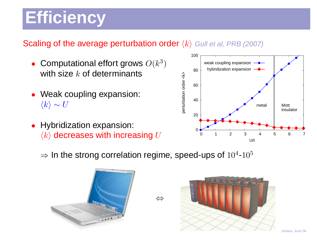# **Efficiency**

#### **Scaling of the average perturbation order**  $\langle k \rangle$  Gull et al, PRB (2007)

- •• Computational effort grows  $O(k^3)$ with size  $k$  of determinants
- Weak coupling expansion:  $\langle k \rangle \sim U$
- • Hybridization expansion:  $\langle k \rangle$  decreases with increasing  $U$



 $\Rightarrow$  In the strong correlation regime, speed-ups of  $10^4$ - $10^5$ 

⇔



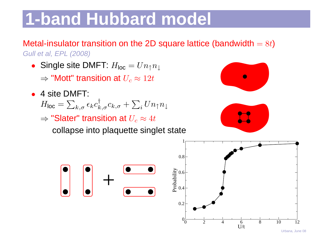# **1-band Hubbard model**

Metal-insulator transition on the 2D square lattice (bandwidth  $=8t$ ) Gull et al, EPL (2008)

- Single site DMFT:  $H_{\mathsf{loc}} = U n_{\uparrow} n_{\downarrow}$ 
	- $\Rightarrow$  "Mott" transition at  $U_c \approx 12t$
- <sup>4</sup> site DMFT:
	- $H_{\mathsf{loc}} = \sum_{k,\sigma} \epsilon_k c^{\dagger}_{k,\sigma}c_{k,\sigma} + \sum_i U n_{\uparrow}n_{\downarrow}$
	- $\Rightarrow$  "Slater" transition at  $U_c \approx 4t$

collapse into plaquette singlet state



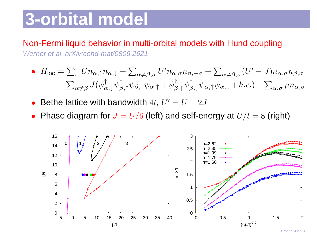### **3-orbital model**

#### Non-Fermi liquid behavior in multi-orbital models with Hund coupling

Werner et al, arXiv:cond-mat/0806.2621

• 
$$
H_{\text{loc}} = \sum_{\alpha} U n_{\alpha,\uparrow} n_{\alpha,\downarrow} + \sum_{\alpha \neq \beta,\sigma} U' n_{\alpha,\sigma} n_{\beta,-\sigma} + \sum_{\alpha \neq \beta,\sigma} (U' - J) n_{\alpha,\sigma} n_{\beta,\sigma}
$$

$$
- \sum_{\alpha \neq \beta} J(\psi^{\dagger}_{\alpha,\downarrow} \psi^{\dagger}_{\beta,\uparrow} \psi_{\beta,\downarrow} \psi_{\alpha,\uparrow} + \psi^{\dagger}_{\beta,\uparrow} \psi^{\dagger}_{\beta,\downarrow} \psi_{\alpha,\uparrow} \psi_{\alpha,\downarrow} + h.c.) - \sum_{\alpha,\sigma} \mu n_{\alpha,\sigma}
$$

- •• Bethe lattice with bandwidth  $4t$ ,  $U'=U-2J$
- $\bullet\;$  Phase diagram for  $J=U/6$  (left) and self-energy at  $U/t=8$  (right)

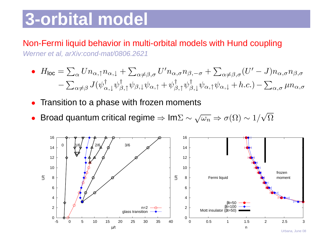### **3-orbital model**

#### Non-Fermi liquid behavior in multi-orbital models with Hund coupling

Werner et al, arXiv:cond-mat/0806.2621

• 
$$
H_{\text{loc}} = \sum_{\alpha} U n_{\alpha,\uparrow} n_{\alpha,\downarrow} + \sum_{\alpha \neq \beta,\sigma} U' n_{\alpha,\sigma} n_{\beta,-\sigma} + \sum_{\alpha \neq \beta,\sigma} (U' - J) n_{\alpha,\sigma} n_{\beta,\sigma}
$$

$$
- \sum_{\alpha \neq \beta} J(\psi^{\dagger}_{\alpha,\downarrow} \psi^{\dagger}_{\beta,\uparrow} \psi_{\beta,\downarrow} \psi_{\alpha,\uparrow} + \psi^{\dagger}_{\beta,\uparrow} \psi^{\dagger}_{\beta,\downarrow} \psi_{\alpha,\uparrow} \psi_{\alpha,\downarrow} + h.c.) - \sum_{\alpha,\sigma} \mu n_{\alpha,\sigma}
$$

- •Transition to <sup>a</sup> phase with frozen moments
- Broad quantum critical regime  $\Rightarrow$  Im $\Sigma \sim \sqrt{\omega_n} \Rightarrow \sigma(\Omega) \sim 1/\sqrt{\Omega}$